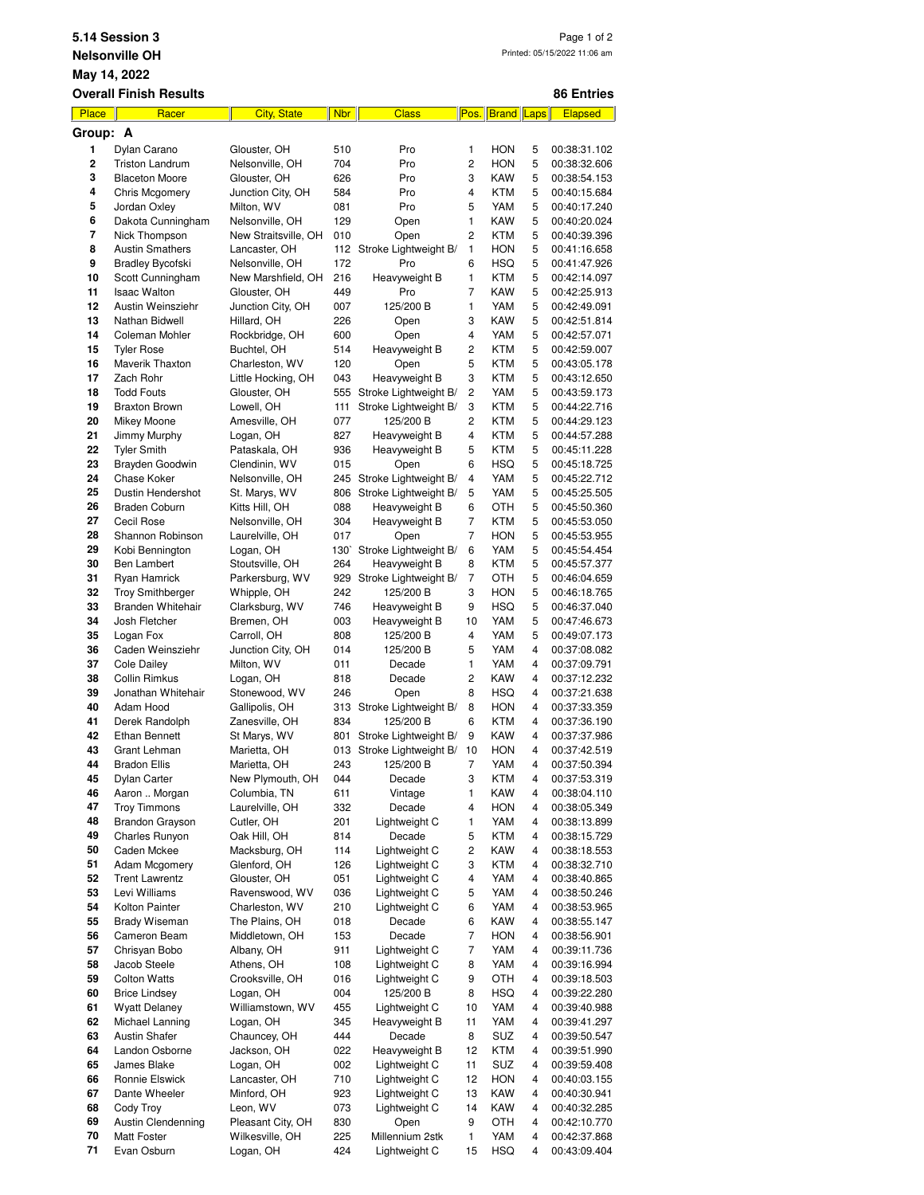|                                                       | 5.14 Session 3<br>Page 1 of 2                     |                                  |                  |                                                |                     |                          |        |                              |  |  |  |
|-------------------------------------------------------|---------------------------------------------------|----------------------------------|------------------|------------------------------------------------|---------------------|--------------------------|--------|------------------------------|--|--|--|
| Printed: 05/15/2022 11:06 am<br><b>Nelsonville OH</b> |                                                   |                                  |                  |                                                |                     |                          |        |                              |  |  |  |
| May 14, 2022                                          |                                                   |                                  |                  |                                                |                     |                          |        |                              |  |  |  |
|                                                       | <b>Overall Finish Results</b>                     |                                  |                  |                                                |                     |                          |        | 86 Entries                   |  |  |  |
| Place                                                 | Racer                                             | <b>City, State</b>               | <b>Nbr</b>       | <b>Class</b>                                   | Pos.                | <b>Brand</b> Laps        |        | <b>Elapsed</b>               |  |  |  |
| Group: A<br>1                                         | Dylan Carano                                      | Glouster, OH                     | 510              | Pro                                            | 1                   | <b>HON</b>               | 5      | 00:38:31.102                 |  |  |  |
| 2                                                     | <b>Triston Landrum</b>                            | Nelsonville, OH                  | 704              | Pro                                            | 2                   | HON                      | 5      | 00:38:32.606                 |  |  |  |
| 3                                                     | <b>Blaceton Moore</b>                             | Glouster, OH                     | 626              | Pro                                            | 3                   | KAW                      | 5      | 00:38:54.153                 |  |  |  |
| 4                                                     | <b>Chris Mcgomery</b>                             | Junction City, OH                | 584              | Pro                                            | 4                   | <b>KTM</b>               | 5      | 00:40:15.684                 |  |  |  |
| 5                                                     | Jordan Oxley                                      | Milton, WV                       | 081              | Pro                                            | 5                   | YAM                      | 5      | 00:40:17.240                 |  |  |  |
| 6                                                     | Dakota Cunningham                                 | Nelsonville, OH                  | 129              | Open                                           | 1                   | KAW                      | 5      | 00:40:20.024                 |  |  |  |
| 7<br>8                                                | Nick Thompson                                     | New Straitsville, OH             | 010<br>112       | Open                                           | $\overline{2}$<br>1 | <b>KTM</b><br>HON        | 5<br>5 | 00:40:39.396                 |  |  |  |
| 9                                                     | <b>Austin Smathers</b><br><b>Bradley Bycofski</b> | Lancaster, OH<br>Nelsonville, OH | 172              | Stroke Lightweight B/<br>Pro                   | 6                   | HSQ                      | 5      | 00:41:16.658<br>00:41:47.926 |  |  |  |
| 10                                                    | Scott Cunningham                                  | New Marshfield, OH               | 216              | Heavyweight B                                  | 1                   | <b>KTM</b>               | 5      | 00:42:14.097                 |  |  |  |
| 11                                                    | <b>Isaac Walton</b>                               | Glouster, OH                     | 449              | Pro                                            | 7                   | <b>KAW</b>               | 5      | 00:42:25.913                 |  |  |  |
| 12                                                    | Austin Weinsziehr                                 | Junction City, OH                | 007              | 125/200 B                                      | 1                   | YAM                      | 5      | 00:42:49.091                 |  |  |  |
| 13                                                    | Nathan Bidwell                                    | Hillard, OH                      | 226              | Open                                           | 3                   | KAW                      | 5      | 00:42:51.814                 |  |  |  |
| 14                                                    | Coleman Mohler                                    | Rockbridge, OH                   | 600              | Open                                           | 4                   | YAM                      | 5      | 00:42:57.071                 |  |  |  |
| 15<br>16                                              | <b>Tyler Rose</b><br>Maverik Thaxton              | Buchtel, OH<br>Charleston, WV    | 514<br>120       | Heavyweight B<br>Open                          | 2<br>5              | <b>KTM</b><br><b>KTM</b> | 5<br>5 | 00:42:59.007                 |  |  |  |
| 17                                                    | Zach Rohr                                         | Little Hocking, OH               | 043              | Heavyweight B                                  | 3                   | <b>KTM</b>               | 5      | 00:43:05.178<br>00:43:12.650 |  |  |  |
| 18                                                    | <b>Todd Fouts</b>                                 | Glouster, OH                     | 555              | Stroke Lightweight B/                          | 2                   | YAM                      | 5      | 00:43:59.173                 |  |  |  |
| 19                                                    | <b>Braxton Brown</b>                              | Lowell, OH                       | 111              | Stroke Lightweight B/                          | 3                   | <b>KTM</b>               | 5      | 00:44:22.716                 |  |  |  |
| 20                                                    | Mikey Moone                                       | Amesville, OH                    | 077              | 125/200 B                                      | 2                   | <b>KTM</b>               | 5      | 00:44:29.123                 |  |  |  |
| 21                                                    | Jimmy Murphy                                      | Logan, OH                        | 827              | Heavyweight B                                  | 4                   | <b>KTM</b>               | 5      | 00:44:57.288                 |  |  |  |
| 22                                                    | <b>Tyler Smith</b>                                | Pataskala, OH                    | 936              | Heavyweight B                                  | 5                   | <b>KTM</b>               | 5      | 00:45:11.228                 |  |  |  |
| 23                                                    | Brayden Goodwin                                   | Clendinin, WV                    | 015              | Open                                           | 6                   | <b>HSQ</b>               | 5      | 00:45:18.725                 |  |  |  |
| 24<br>25                                              | Chase Koker<br>Dustin Hendershot                  | Nelsonville, OH<br>St. Marys, WV | 245<br>806       | Stroke Lightweight B/<br>Stroke Lightweight B/ | 4<br>5              | YAM<br>YAM               | 5<br>5 | 00:45:22.712<br>00:45:25.505 |  |  |  |
| 26                                                    | <b>Braden Coburn</b>                              | Kitts Hill, OH                   | 088              | Heavyweight B                                  | 6                   | OTH                      | 5      | 00:45:50.360                 |  |  |  |
| 27                                                    | Cecil Rose                                        | Nelsonville, OH                  | 304              | Heavyweight B                                  | $\overline{7}$      | <b>KTM</b>               | 5      | 00:45:53.050                 |  |  |  |
| 28                                                    | Shannon Robinson                                  | Laurelville, OH                  | 017              | Open                                           | 7                   | HON                      | 5      | 00:45:53.955                 |  |  |  |
| 29                                                    | Kobi Bennington                                   | Logan, OH                        | 130 <sup>°</sup> | Stroke Lightweight B/                          | 6                   | YAM                      | 5      | 00:45:54.454                 |  |  |  |
| 30                                                    | <b>Ben Lambert</b>                                | Stoutsville, OH                  | 264              | Heavyweight B                                  | 8                   | <b>KTM</b>               | 5      | 00:45:57.377                 |  |  |  |
| 31                                                    | Ryan Hamrick                                      | Parkersburg, WV                  |                  | 929 Stroke Lightweight B/                      | 7                   | OTH                      | 5      | 00:46:04.659                 |  |  |  |
| 32                                                    | <b>Troy Smithberger</b>                           | Whipple, OH                      | 242              | 125/200 B                                      | 3                   | <b>HON</b>               | 5      | 00:46:18.765                 |  |  |  |
| 33<br>34                                              | Branden Whitehair<br>Josh Fletcher                | Clarksburg, WV<br>Bremen, OH     | 746<br>003       | Heavyweight B                                  | 9<br>10             | HSQ<br>YAM               | 5<br>5 | 00:46:37.040                 |  |  |  |
| 35                                                    | Logan Fox                                         | Carroll, OH                      | 808              | Heavyweight B<br>125/200 B                     | 4                   | YAM                      | 5      | 00:47:46.673<br>00:49:07.173 |  |  |  |
| 36                                                    | Caden Weinsziehr                                  | Junction City, OH                | 014              | 125/200 B                                      | 5                   | YAM                      | 4      | 00:37:08.082                 |  |  |  |
| 37                                                    | <b>Cole Dailey</b>                                | Milton, WV                       | 011              | Decade                                         | 1                   | YAM                      | 4      | 00:37:09.791                 |  |  |  |
| 38                                                    | Collin Rimkus                                     | Logan, OH                        | 818              | Decade                                         | 2                   | KAW                      | 4      | 00:37:12.232                 |  |  |  |
| 39                                                    | Jonathan Whitehair                                | Stonewood, WV                    | 246              | Open                                           | 8                   | HSQ                      | 4      | 00:37:21.638                 |  |  |  |
| 40                                                    | Adam Hood                                         | Gallipolis, OH                   |                  | 313 Stroke Lightweight B/                      | 8                   | HON                      | 4      | 00:37:33.359                 |  |  |  |
| 41                                                    | Derek Randolph                                    | Zanesville, OH                   | 834              | 125/200 B                                      | 6                   | <b>KTM</b>               | 4      | 00:37:36.190                 |  |  |  |
| 42<br>43                                              | <b>Ethan Bennett</b><br>Grant Lehman              | St Marys, WV<br>Marietta, OH     | 801<br>013       | Stroke Lightweight B/<br>Stroke Lightweight B/ | 9<br>10             | KAW<br><b>HON</b>        | 4<br>4 | 00:37:37.986<br>00:37:42.519 |  |  |  |
| 44                                                    | <b>Bradon Ellis</b>                               | Marietta, OH                     | 243              | 125/200 B                                      | 7                   | YAM                      | 4      | 00:37:50.394                 |  |  |  |
| 45                                                    | Dylan Carter                                      | New Plymouth, OH                 | 044              | Decade                                         | 3                   | KTM                      | 4      | 00:37:53.319                 |  |  |  |
| 46                                                    | Aaron  Morgan                                     | Columbia, TN                     | 611              | Vintage                                        | 1                   | KAW                      | 4      | 00:38:04.110                 |  |  |  |
| 47                                                    | <b>Troy Timmons</b>                               | Laurelville, OH                  | 332              | Decade                                         | 4                   | <b>HON</b>               | 4      | 00:38:05.349                 |  |  |  |
| 48                                                    | <b>Brandon Grayson</b>                            | Cutler, OH                       | 201              | Lightweight C                                  | 1                   | YAM                      | 4      | 00:38:13.899                 |  |  |  |
| 49                                                    | Charles Runyon                                    | Oak Hill, OH                     | 814              | Decade                                         | 5                   | <b>KTM</b>               | 4      | 00:38:15.729                 |  |  |  |
| 50<br>51                                              | Caden Mckee<br>Adam Mcgomery                      | Macksburg, OH<br>Glenford, OH    | 114<br>126       | Lightweight C<br>Lightweight C                 | 2<br>3              | KAW<br>KTM               | 4<br>4 | 00:38:18.553<br>00:38:32.710 |  |  |  |
| 52                                                    | <b>Trent Lawrentz</b>                             | Glouster, OH                     | 051              | Lightweight C                                  | 4                   | YAM                      | 4      | 00:38:40.865                 |  |  |  |
| 53                                                    | Levi Williams                                     | Ravenswood, WV                   | 036              | Lightweight C                                  | 5                   | YAM                      | 4      | 00:38:50.246                 |  |  |  |
| 54                                                    | Kolton Painter                                    | Charleston, WV                   | 210              | Lightweight C                                  | 6                   | YAM                      | 4      | 00:38:53.965                 |  |  |  |
| 55                                                    | <b>Brady Wiseman</b>                              | The Plains, OH                   | 018              | Decade                                         | 6                   | KAW                      | 4      | 00:38:55.147                 |  |  |  |
| 56                                                    | Cameron Beam                                      | Middletown, OH                   | 153              | Decade                                         | 7                   | <b>HON</b>               | 4      | 00:38:56.901                 |  |  |  |
| 57                                                    | Chrisyan Bobo                                     | Albany, OH                       | 911              | Lightweight C                                  | 7                   | YAM                      | 4      | 00:39:11.736                 |  |  |  |
| 58                                                    | Jacob Steele                                      | Athens, OH                       | 108              | Lightweight C                                  | 8                   | YAM                      | 4      | 00:39:16.994                 |  |  |  |
| 59<br>60                                              | <b>Colton Watts</b><br><b>Brice Lindsey</b>       | Crooksville, OH<br>Logan, OH     | 016<br>004       | Lightweight C<br>125/200 B                     | 9<br>8              | OTH<br><b>HSQ</b>        | 4<br>4 | 00:39:18.503<br>00:39:22.280 |  |  |  |
| 61                                                    | <b>Wyatt Delaney</b>                              | Williamstown, WV                 | 455              | Lightweight C                                  | 10                  | YAM                      | 4      | 00:39:40.988                 |  |  |  |
| 62                                                    | Michael Lanning                                   | Logan, OH                        | 345              | Heavyweight B                                  | 11                  | YAM                      | 4      | 00:39:41.297                 |  |  |  |
| 63                                                    | <b>Austin Shafer</b>                              | Chauncey, OH                     | 444              | Decade                                         | 8                   | SUZ                      | 4      | 00:39:50.547                 |  |  |  |
| 64                                                    | Landon Osborne                                    | Jackson, OH                      | 022              | Heavyweight B                                  | 12                  | <b>KTM</b>               | 4      | 00:39:51.990                 |  |  |  |
| 65                                                    | James Blake                                       | Logan, OH                        | 002              | Lightweight C                                  | 11                  | SUZ                      | 4      | 00:39:59.408                 |  |  |  |
| 66                                                    | Ronnie Elswick                                    | Lancaster, OH                    | 710              | Lightweight C                                  | 12                  | <b>HON</b>               | 4      | 00:40:03.155                 |  |  |  |
| 67                                                    | Dante Wheeler                                     | Minford, OH                      | 923              | Lightweight C                                  | 13                  | KAW                      | 4      | 00:40:30.941                 |  |  |  |
| 68<br>69                                              | Cody Troy<br><b>Austin Clendenning</b>            | Leon, WV<br>Pleasant City, OH    | 073              | Lightweight C                                  | 14<br>9             | KAW                      | 4<br>4 | 00:40:32.285                 |  |  |  |
| 70                                                    | Matt Foster                                       | Wilkesville, OH                  | 830<br>225       | Open<br>Millennium 2stk                        | 1                   | OTH<br>YAM               | 4      | 00:42:10.770<br>00:42:37.868 |  |  |  |

Evan Osburn Logan, OH 424 Lightweight C 15 HSQ 4 00:43:09.404